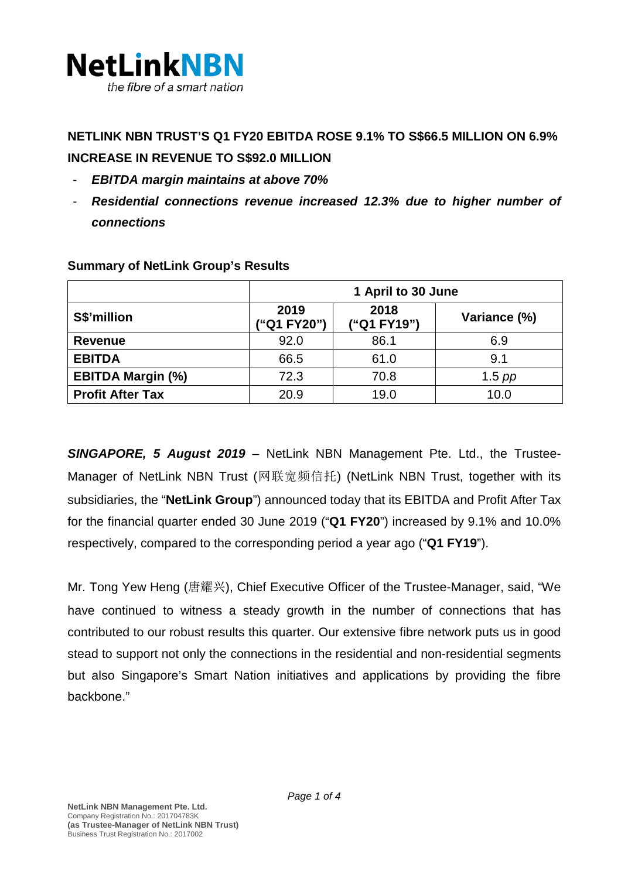

# **NETLINK NBN TRUST'S Q1 FY20 EBITDA ROSE 9.1% TO S\$66.5 MILLION ON 6.9% INCREASE IN REVENUE TO S\$92.0 MILLION**

- *EBITDA margin maintains at above 70%*
- *Residential connections revenue increased 12.3% due to higher number of connections*

|                          | 1 April to 30 June |                     |              |
|--------------------------|--------------------|---------------------|--------------|
| S\$'million              | 2019<br>"Q1 FY20") | 2018<br>("Q1 FY19") | Variance (%) |
| <b>Revenue</b>           | 92.0               | 86.1                | 6.9          |
| <b>EBITDA</b>            | 66.5               | 61.0                | 9.1          |
| <b>EBITDA Margin (%)</b> | 72.3               | 70.8                | $1.5$ pp     |
| <b>Profit After Tax</b>  | 20.9               | 19.0                | 10.0         |

### **Summary of NetLink Group's Results**

*SINGAPORE, 5 August 2019 –* NetLink NBN Management Pte. Ltd., the Trustee-Manager of NetLink NBN Trust (网联宽频信托) (NetLink NBN Trust, together with its subsidiaries, the "**NetLink Group**") announced today that its EBITDA and Profit After Tax for the financial quarter ended 30 June 2019 ("**Q1 FY20**") increased by 9.1% and 10.0% respectively, compared to the corresponding period a year ago ("**Q1 FY19**").

Mr. Tong Yew Heng (唐耀兴), Chief Executive Officer of the Trustee-Manager, said, "We have continued to witness a steady growth in the number of connections that has contributed to our robust results this quarter. Our extensive fibre network puts us in good stead to support not only the connections in the residential and non-residential segments but also Singapore's Smart Nation initiatives and applications by providing the fibre backbone."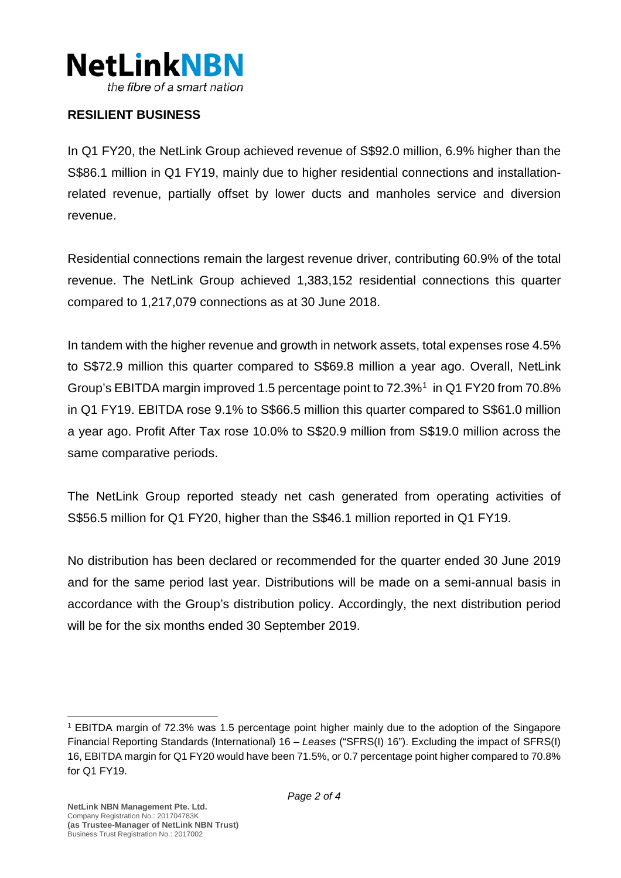

### **RESILIENT BUSINESS**

In Q1 FY20, the NetLink Group achieved revenue of S\$92.0 million, 6.9% higher than the S\$86.1 million in Q1 FY19, mainly due to higher residential connections and installationrelated revenue, partially offset by lower ducts and manholes service and diversion revenue.

Residential connections remain the largest revenue driver, contributing 60.9% of the total revenue. The NetLink Group achieved 1,383,152 residential connections this quarter compared to 1,217,079 connections as at 30 June 2018.

In tandem with the higher revenue and growth in network assets, total expenses rose 4.5% to S\$72.9 million this quarter compared to S\$69.8 million a year ago. Overall, NetLink Group's EBITDA margin improved 1.5 percentage point to 72.3%[1](#page-1-0) in Q1 FY20 from 70.8% in Q1 FY19. EBITDA rose 9.1% to S\$66.5 million this quarter compared to S\$61.0 million a year ago. Profit After Tax rose 10.0% to S\$20.9 million from S\$19.0 million across the same comparative periods.

The NetLink Group reported steady net cash generated from operating activities of S\$56.5 million for Q1 FY20, higher than the S\$46.1 million reported in Q1 FY19.

No distribution has been declared or recommended for the quarter ended 30 June 2019 and for the same period last year. Distributions will be made on a semi-annual basis in accordance with the Group's distribution policy. Accordingly, the next distribution period will be for the six months ended 30 September 2019.

<span id="page-1-0"></span><sup>1</sup> EBITDA margin of 72.3% was 1.5 percentage point higher mainly due to the adoption of the Singapore Financial Reporting Standards (International) 16 – *Leases* ("SFRS(I) 16"). Excluding the impact of SFRS(I) 16, EBITDA margin for Q1 FY20 would have been 71.5%, or 0.7 percentage point higher compared to 70.8% for Q1 FY19.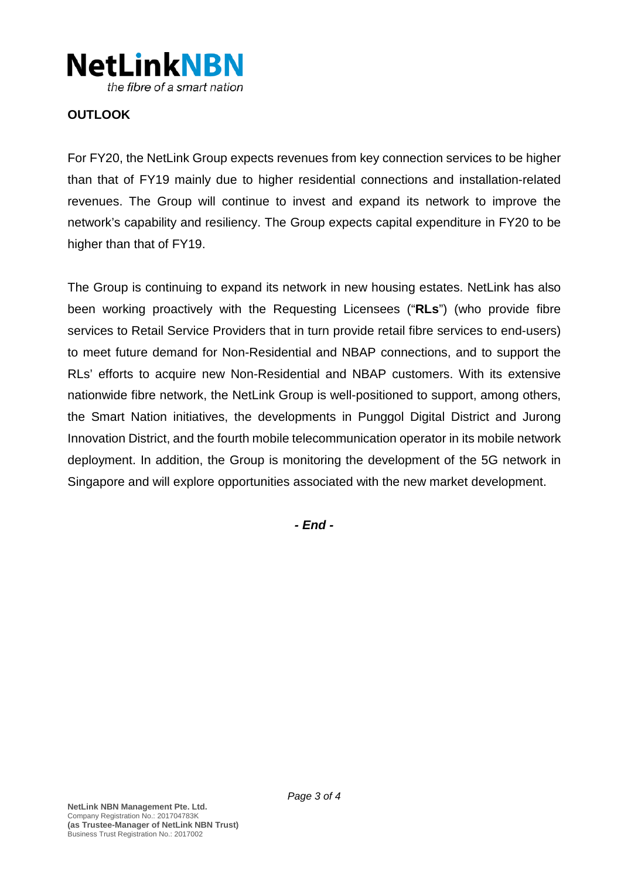

# **OUTLOOK**

For FY20, the NetLink Group expects revenues from key connection services to be higher than that of FY19 mainly due to higher residential connections and installation-related revenues. The Group will continue to invest and expand its network to improve the network's capability and resiliency. The Group expects capital expenditure in FY20 to be higher than that of FY19.

The Group is continuing to expand its network in new housing estates. NetLink has also been working proactively with the Requesting Licensees ("**RLs**") (who provide fibre services to Retail Service Providers that in turn provide retail fibre services to end-users) to meet future demand for Non-Residential and NBAP connections, and to support the RLs' efforts to acquire new Non-Residential and NBAP customers. With its extensive nationwide fibre network, the NetLink Group is well-positioned to support, among others, the Smart Nation initiatives, the developments in Punggol Digital District and Jurong Innovation District, and the fourth mobile telecommunication operator in its mobile network deployment. In addition, the Group is monitoring the development of the 5G network in Singapore and will explore opportunities associated with the new market development.

*- End -*